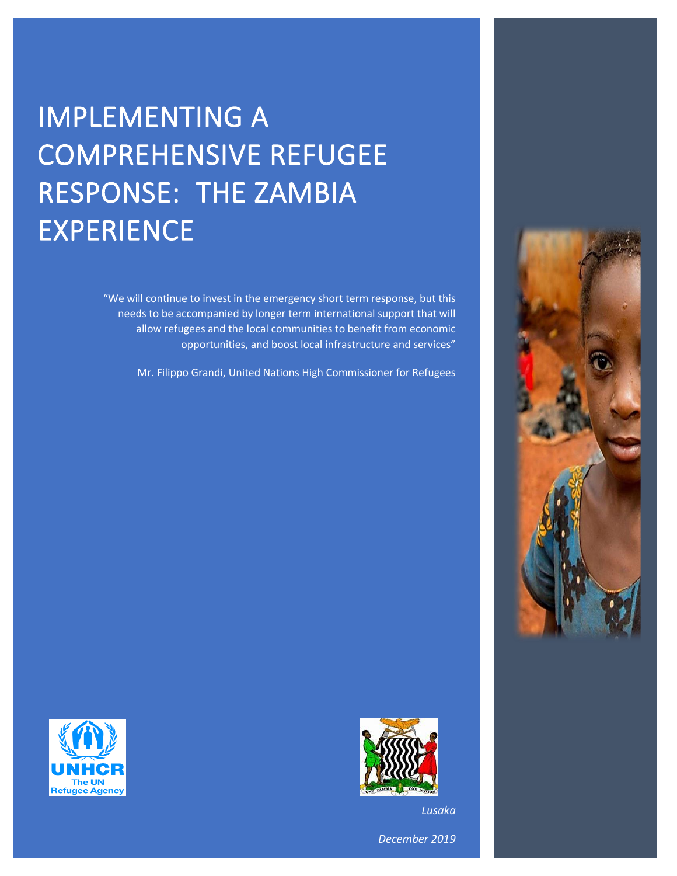# IMPLEMENTING A COMPREHENSIVE REFUGEE RESPONSE: THE ZAMBIA EXPERIENCE

"We will continue to invest in the emergency short term response, but this needs to be accompanied by longer term international support that will allow refugees and the local communities to benefit from economic opportunities, and boost local infrastructure and services"

Mr. Filippo Grandi, United Nations High Commissioner for Refugees



*Lusaka*

*December 2019*



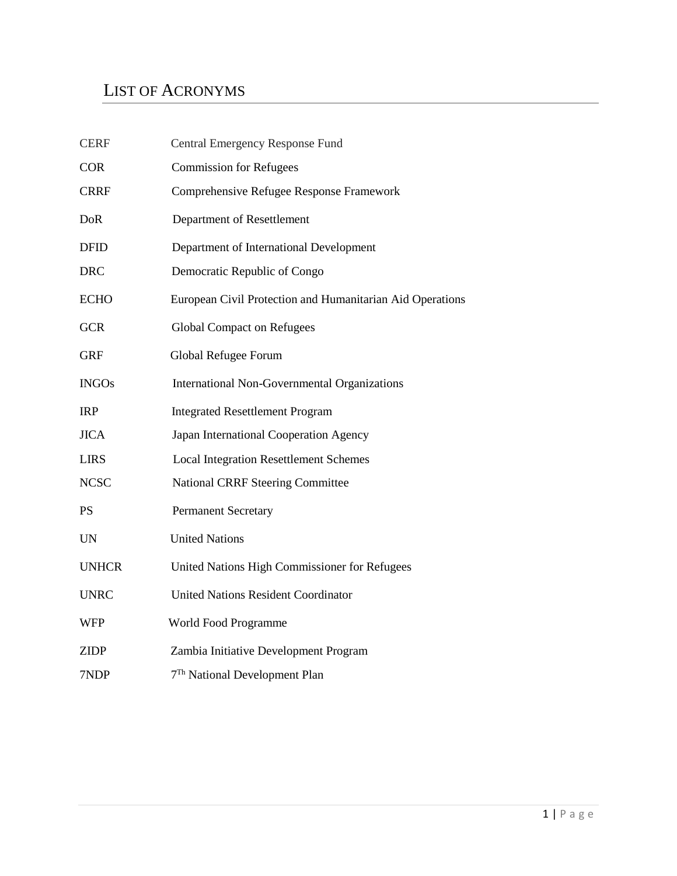#### LIST OF ACRONYMS

| Central Emergency Response Fund                           |  |  |  |  |
|-----------------------------------------------------------|--|--|--|--|
| <b>Commission for Refugees</b>                            |  |  |  |  |
| Comprehensive Refugee Response Framework                  |  |  |  |  |
| Department of Resettlement                                |  |  |  |  |
| Department of International Development                   |  |  |  |  |
| Democratic Republic of Congo                              |  |  |  |  |
| European Civil Protection and Humanitarian Aid Operations |  |  |  |  |
| <b>Global Compact on Refugees</b>                         |  |  |  |  |
| Global Refugee Forum                                      |  |  |  |  |
| <b>International Non-Governmental Organizations</b>       |  |  |  |  |
| <b>Integrated Resettlement Program</b>                    |  |  |  |  |
| Japan International Cooperation Agency                    |  |  |  |  |
| <b>Local Integration Resettlement Schemes</b>             |  |  |  |  |
| <b>National CRRF Steering Committee</b>                   |  |  |  |  |
| <b>Permanent Secretary</b>                                |  |  |  |  |
| <b>United Nations</b>                                     |  |  |  |  |
| United Nations High Commissioner for Refugees             |  |  |  |  |
| <b>United Nations Resident Coordinator</b>                |  |  |  |  |
| World Food Programme                                      |  |  |  |  |
| Zambia Initiative Development Program                     |  |  |  |  |
| 7 <sup>Th</sup> National Development Plan                 |  |  |  |  |
|                                                           |  |  |  |  |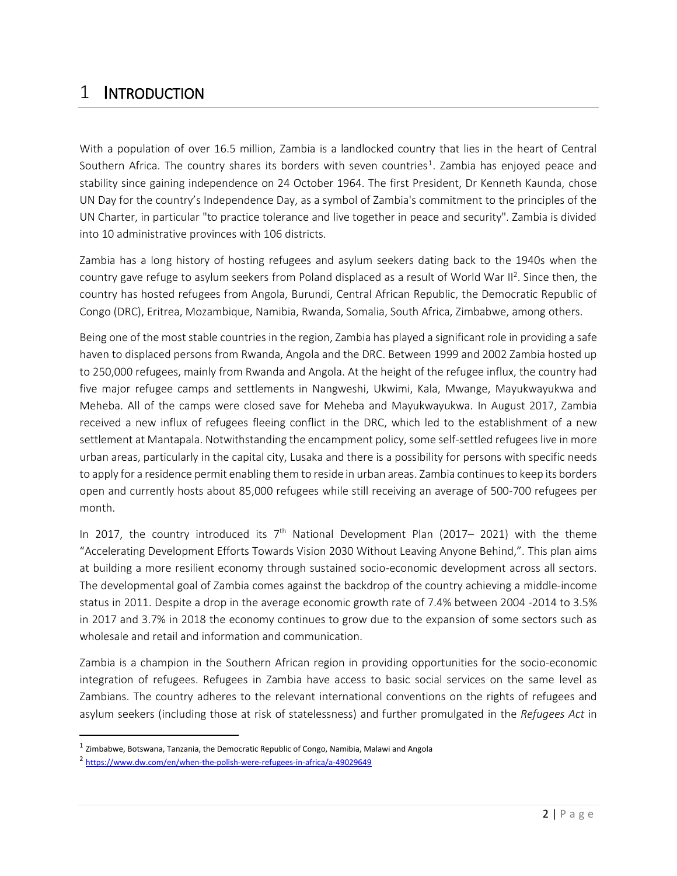#### 1 INTRODUCTION

With a population of over 16.5 million, Zambia is a landlocked country that lies in the heart of Central Southern Africa. The country shares its borders with seven countries<sup>1</sup>. Zambia has enjoyed peace and stability since gaining independence on 24 October 1964. The first President, Dr Kenneth Kaunda, chose UN Day for the country's Independence Day, as a symbol of Zambia's commitment to the principles of the UN Charter, in particular "to practice tolerance and live together in peace and security". Zambia is divided into 10 administrative provinces with 106 districts.

Zambia has a long history of hosting refugees and asylum seekers dating back to the 1940s when the country gave refuge to asylum seekers from Poland displaced as a result of World War II<sup>2</sup>. Since then, the country has hosted refugees from Angola, Burundi, Central African Republic, the Democratic Republic of Congo (DRC), Eritrea, Mozambique, Namibia, Rwanda, Somalia, South Africa, Zimbabwe, among others.

Being one of the most stable countries in the region, Zambia has played a significant role in providing a safe haven to displaced persons from Rwanda, Angola and the DRC. Between 1999 and 2002 Zambia hosted up to 250,000 refugees, mainly from Rwanda and Angola. At the height of the refugee influx, the country had five major refugee camps and settlements in Nangweshi, Ukwimi, Kala, Mwange, Mayukwayukwa and Meheba. All of the camps were closed save for Meheba and Mayukwayukwa. In August 2017, Zambia received a new influx of refugees fleeing conflict in the DRC, which led to the establishment of a new settlement at Mantapala. Notwithstanding the encampment policy, some self-settled refugees live in more urban areas, particularly in the capital city, Lusaka and there is a possibility for persons with specific needs to apply for a residence permit enabling them to reside in urban areas. Zambia continues to keep its borders open and currently hosts about 85,000 refugees while still receiving an average of 500-700 refugees per month.

In 2017, the country introduced its  $7<sup>th</sup>$  National Development Plan (2017– 2021) with the theme "Accelerating Development Efforts Towards Vision 2030 Without Leaving Anyone Behind,". This plan aims at building a more resilient economy through sustained socio-economic development across all sectors. The developmental goal of Zambia comes against the backdrop of the country achieving a middle-income status in 2011. Despite a drop in the average economic growth rate of 7.4% between 2004 -2014 to 3.5% in 2017 and 3.7% in 2018 the economy continues to grow due to the expansion of some sectors such as wholesale and retail and information and communication.

Zambia is a champion in the Southern African region in providing opportunities for the socio-economic integration of refugees. Refugees in Zambia have access to basic social services on the same level as Zambians. The country adheres to the relevant international conventions on the rights of refugees and asylum seekers (including those at risk of statelessness) and further promulgated in the *Refugees Act* in

 $\overline{a}$ 

 $^{\text{1}}$  Zimbabwe, Botswana, Tanzania, the Democratic Republic of Congo, Namibia, Malawi and Angola

<sup>&</sup>lt;sup>2</sup> <https://www.dw.com/en/when-the-polish-were-refugees-in-africa/a-49029649>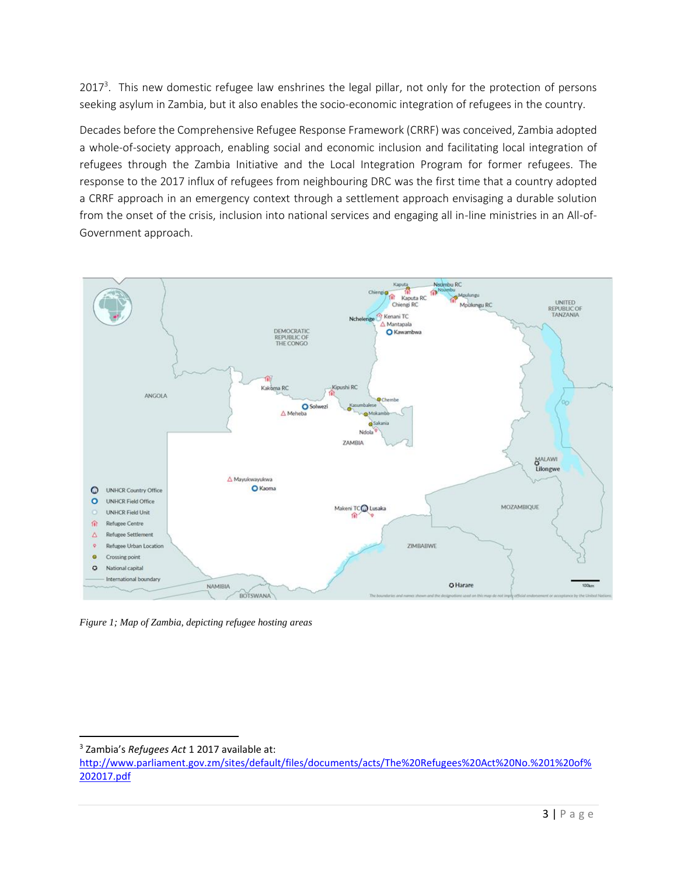2017<sup>3</sup>. This new domestic refugee law enshrines the legal pillar, not only for the protection of persons seeking asylum in Zambia, but it also enables the socio-economic integration of refugees in the country.

Decades before the Comprehensive Refugee Response Framework (CRRF) was conceived, Zambia adopted a whole-of-society approach, enabling social and economic inclusion and facilitating local integration of refugees through the Zambia Initiative and the Local Integration Program for former refugees. The response to the 2017 influx of refugees from neighbouring DRC was the first time that a country adopted a CRRF approach in an emergency context through a settlement approach envisaging a durable solution from the onset of the crisis, inclusion into national services and engaging all in-line ministries in an All-of-Government approach.



*Figure 1; Map of Zambia, depicting refugee hosting areas*

l <sup>3</sup> Zambia's *Refugees Act* 1 2017 available at:

[http://www.parliament.gov.zm/sites/default/files/documents/acts/The%20Refugees%20Act%20No.%201%20of%](http://www.parliament.gov.zm/sites/default/files/documents/acts/The%20Refugees%20Act%20No.%201%20of%202017.pdf) [202017.pdf](http://www.parliament.gov.zm/sites/default/files/documents/acts/The%20Refugees%20Act%20No.%201%20of%202017.pdf)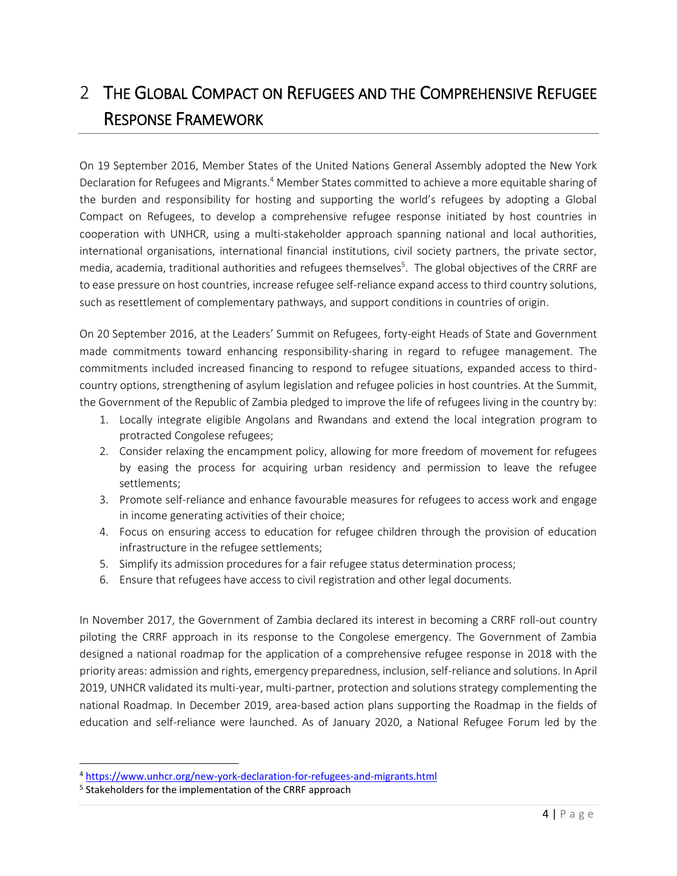# 2 THE GLOBAL COMPACT ON REFUGEES AND THE COMPREHENSIVE REFUGEE RESPONSE FRAMEWORK

On 19 September 2016, Member States of the United Nations General Assembly adopted the New York Declaration for Refugees and Migrants.<sup>4</sup> Member States committed to achieve a more equitable sharing of the burden and responsibility for hosting and supporting the world's refugees by adopting a Global Compact on Refugees, to develop a comprehensive refugee response initiated by host countries in cooperation with UNHCR, using a multi-stakeholder approach spanning national and local authorities, international organisations, international financial institutions, civil society partners, the private sector, media, academia, traditional authorities and refugees themselves<sup>5</sup>. The global objectives of the CRRF are to ease pressure on host countries, increase refugee self-reliance expand access to third country solutions, such as resettlement of complementary pathways, and support conditions in countries of origin.

On 20 September 2016, at the Leaders' Summit on Refugees, forty-eight Heads of State and Government made commitments toward enhancing responsibility-sharing in regard to refugee management. The commitments included increased financing to respond to refugee situations, expanded access to thirdcountry options, strengthening of asylum legislation and refugee policies in host countries. At the Summit, the Government of the Republic of Zambia pledged to improve the life of refugees living in the country by:

- 1. Locally integrate eligible Angolans and Rwandans and extend the local integration program to protracted Congolese refugees;
- 2. Consider relaxing the encampment policy, allowing for more freedom of movement for refugees by easing the process for acquiring urban residency and permission to leave the refugee settlements;
- 3. Promote self-reliance and enhance favourable measures for refugees to access work and engage in income generating activities of their choice;
- 4. Focus on ensuring access to education for refugee children through the provision of education infrastructure in the refugee settlements;
- 5. Simplify its admission procedures for a fair refugee status determination process;
- 6. Ensure that refugees have access to civil registration and other legal documents.

In November 2017, the Government of Zambia declared its interest in becoming a CRRF roll-out country piloting the CRRF approach in its response to the Congolese emergency. The Government of Zambia designed a national roadmap for the application of a comprehensive refugee response in 2018 with the priority areas: admission and rights, emergency preparedness, inclusion, self-reliance and solutions. In April 2019, UNHCR validated its multi-year, multi-partner, protection and solutions strategy complementing the national Roadmap. In December 2019, area-based action plans supporting the Roadmap in the fields of education and self-reliance were launched. As of January 2020, a National Refugee Forum led by the

 $\overline{\phantom{a}}$ 

<sup>4</sup> <https://www.unhcr.org/new-york-declaration-for-refugees-and-migrants.html>

<sup>&</sup>lt;sup>5</sup> Stakeholders for the implementation of the CRRF approach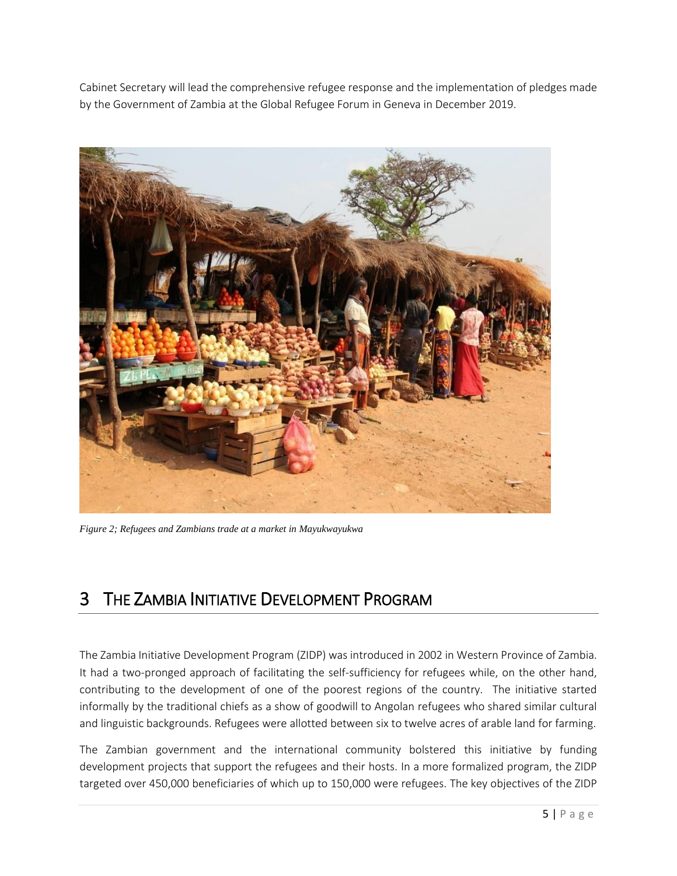Cabinet Secretary will lead the comprehensive refugee response and the implementation of pledges made by the Government of Zambia at the Global Refugee Forum in Geneva in December 2019.



*Figure 2; Refugees and Zambians trade at a market in Mayukwayukwa*

#### 3 THE ZAMBIA INITIATIVE DEVELOPMENT PROGRAM

The Zambia Initiative Development Program (ZIDP) was introduced in 2002 in Western Province of Zambia. It had a two-pronged approach of facilitating the self-sufficiency for refugees while, on the other hand, contributing to the development of one of the poorest regions of the country. The initiative started informally by the traditional chiefs as a show of goodwill to Angolan refugees who shared similar cultural and linguistic backgrounds. Refugees were allotted between six to twelve acres of arable land for farming.

The Zambian government and the international community bolstered this initiative by funding development projects that support the refugees and their hosts. In a more formalized program, the ZIDP targeted over 450,000 beneficiaries of which up to 150,000 were refugees. The key objectives of the ZIDP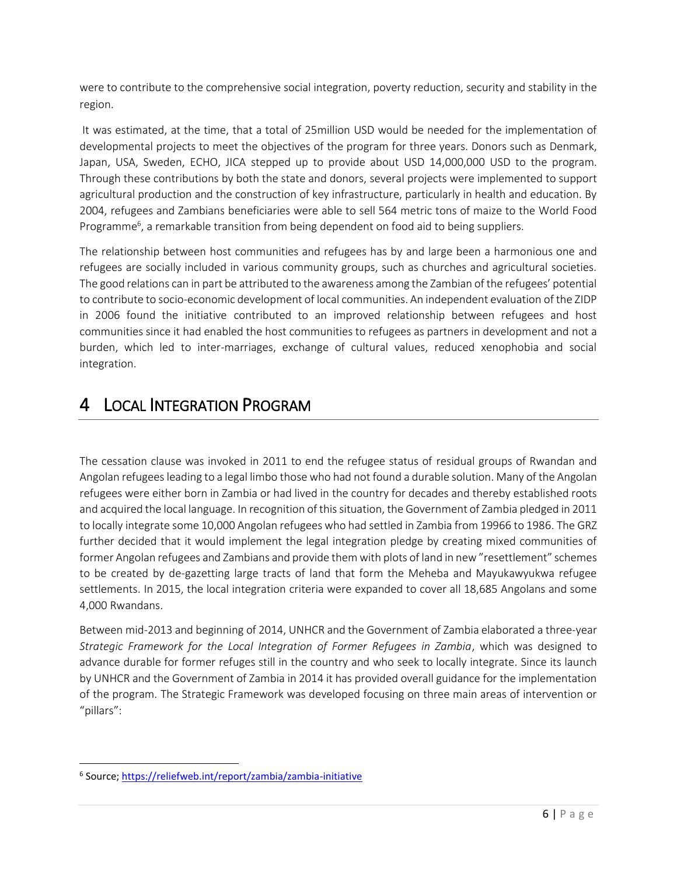were to contribute to the comprehensive social integration, poverty reduction, security and stability in the region.

It was estimated, at the time, that a total of 25million USD would be needed for the implementation of developmental projects to meet the objectives of the program for three years. Donors such as Denmark, Japan, USA, Sweden, ECHO, JICA stepped up to provide about USD 14,000,000 USD to the program. Through these contributions by both the state and donors, several projects were implemented to support agricultural production and the construction of key infrastructure, particularly in health and education. By 2004, refugees and Zambians beneficiaries were able to sell 564 metric tons of maize to the World Food Programme<sup>6</sup>, a remarkable transition from being dependent on food aid to being suppliers.

The relationship between host communities and refugees has by and large been a harmonious one and refugees are socially included in various community groups, such as churches and agricultural societies. The good relations can in part be attributed to the awareness among the Zambian of the refugees' potential to contribute to socio-economic development of local communities. An independent evaluation of the ZIDP in 2006 found the initiative contributed to an improved relationship between refugees and host communities since it had enabled the host communities to refugees as partners in development and not a burden, which led to inter-marriages, exchange of cultural values, reduced xenophobia and social integration.

### 4 LOCAL INTEGRATION PROGRAM

The cessation clause was invoked in 2011 to end the refugee status of residual groups of Rwandan and Angolan refugeesleading to a legal limbo those who had not found a durable solution. Many of the Angolan refugees were either born in Zambia or had lived in the country for decades and thereby established roots and acquired the local language. In recognition of this situation, the Government of Zambia pledged in 2011 to locally integrate some 10,000 Angolan refugees who had settled in Zambia from 19966 to 1986. The GRZ further decided that it would implement the legal integration pledge by creating mixed communities of former Angolan refugees and Zambians and provide them with plots of land in new "resettlement" schemes to be created by de-gazetting large tracts of land that form the Meheba and Mayukawyukwa refugee settlements. In 2015, the local integration criteria were expanded to cover all 18,685 Angolans and some 4,000 Rwandans.

Between mid-2013 and beginning of 2014, UNHCR and the Government of Zambia elaborated a three-year *Strategic Framework for the Local Integration of Former Refugees in Zambia*, which was designed to advance durable for former refuges still in the country and who seek to locally integrate. Since its launch by UNHCR and the Government of Zambia in 2014 it has provided overall guidance for the implementation of the program. The Strategic Framework was developed focusing on three main areas of intervention or "pillars":

 $\overline{\phantom{a}}$ 

<sup>&</sup>lt;sup>6</sup> Source;<https://reliefweb.int/report/zambia/zambia-initiative>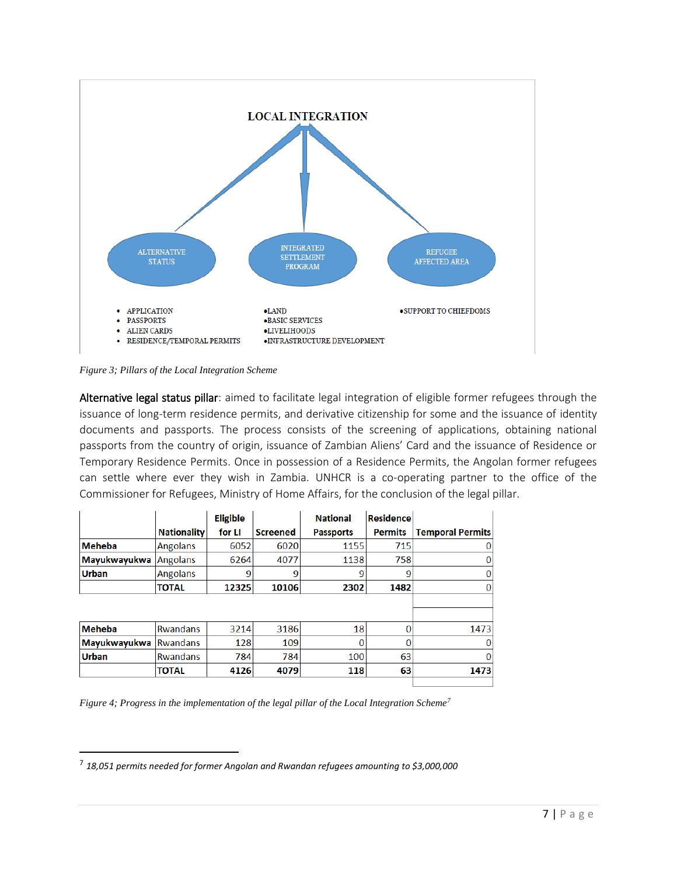

*Figure 3; Pillars of the Local Integration Scheme* 

 $\overline{a}$ 

Alternative legal status pillar: aimed to facilitate legal integration of eligible former refugees through the issuance of long-term residence permits, and derivative citizenship for some and the issuance of identity documents and passports. The process consists of the screening of applications, obtaining national passports from the country of origin, issuance of Zambian Aliens' Card and the issuance of Residence or Temporary Residence Permits. Once in possession of a Residence Permits, the Angolan former refugees can settle where ever they wish in Zambia. UNHCR is a co-operating partner to the office of the Commissioner for Refugees, Ministry of Home Affairs, for the conclusion of the legal pillar.

|                     |                    | <b>Eligible</b> |                 | <b>National</b>  | <b>Residence</b> |                         |
|---------------------|--------------------|-----------------|-----------------|------------------|------------------|-------------------------|
|                     | <b>Nationality</b> | for LI          | <b>Screened</b> | <b>Passports</b> | <b>Permits</b>   | <b>Temporal Permits</b> |
| <b>Meheba</b>       | <b>Angolans</b>    | 6052            | 6020            | 1155             | 715              | 0                       |
| <b>Mayukwayukwa</b> | <b>Angolans</b>    | 6264            | 4077            | 1138             | 758              | 0                       |
| <b>Urban</b>        | <b>Angolans</b>    | 9               |                 | 9                | 9                | 0                       |
|                     | <b>TOTAL</b>       | 12325           | 10106           | 2302             | 1482             | 0                       |
|                     |                    |                 |                 |                  |                  |                         |
|                     |                    |                 |                 |                  |                  |                         |
| <b>Meheba</b>       | <b>Rwandans</b>    | 3214            | 3186            | 18               | n                | 1473                    |
| <b>Mayukwayukwa</b> | <b>Rwandans</b>    | 128             | 109             |                  | O                | 0                       |
| <b>Urban</b>        | <b>Rwandans</b>    | 784             | 784             | 100              | 63               | 0                       |
|                     | <b>TOTAL</b>       | 4126            | 4079            | 118              | 63               | 1473                    |
|                     |                    |                 |                 |                  |                  |                         |

*Figure 4; Progress in the implementation of the legal pillar of the Local Integration Scheme<sup>7</sup>*

<sup>7</sup> *18,051 permits needed for former Angolan and Rwandan refugees amounting to \$3,000,000*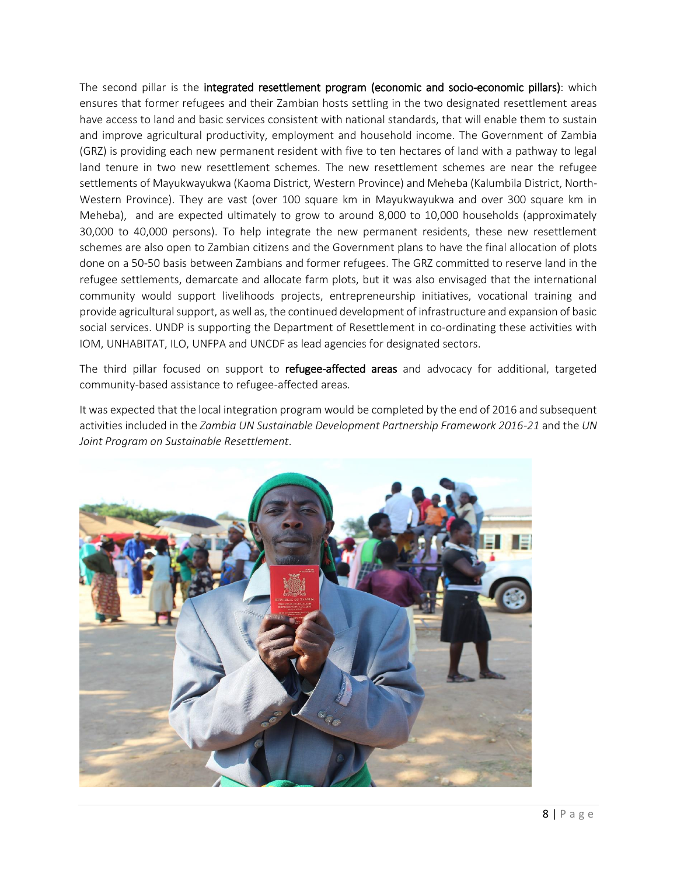The second pillar is the integrated resettlement program (economic and socio-economic pillars): which ensures that former refugees and their Zambian hosts settling in the two designated resettlement areas have access to land and basic services consistent with national standards, that will enable them to sustain and improve agricultural productivity, employment and household income. The Government of Zambia (GRZ) is providing each new permanent resident with five to ten hectares of land with a pathway to legal land tenure in two new resettlement schemes. The new resettlement schemes are near the refugee settlements of Mayukwayukwa (Kaoma District, Western Province) and Meheba (Kalumbila District, North-Western Province). They are vast (over 100 square km in Mayukwayukwa and over 300 square km in Meheba), and are expected ultimately to grow to around 8,000 to 10,000 households (approximately 30,000 to 40,000 persons). To help integrate the new permanent residents, these new resettlement schemes are also open to Zambian citizens and the Government plans to have the final allocation of plots done on a 50-50 basis between Zambians and former refugees. The GRZ committed to reserve land in the refugee settlements, demarcate and allocate farm plots, but it was also envisaged that the international community would support livelihoods projects, entrepreneurship initiatives, vocational training and provide agricultural support, as well as, the continued development of infrastructure and expansion of basic social services. UNDP is supporting the Department of Resettlement in co-ordinating these activities with IOM, UNHABITAT, ILO, UNFPA and UNCDF as lead agencies for designated sectors.

The third pillar focused on support to refugee-affected areas and advocacy for additional, targeted community-based assistance to refugee-affected areas.

It was expected that the local integration program would be completed by the end of 2016 and subsequent activities included in the *Zambia UN Sustainable Development Partnership Framework 2016-21* and the *UN Joint Program on Sustainable Resettlement*.

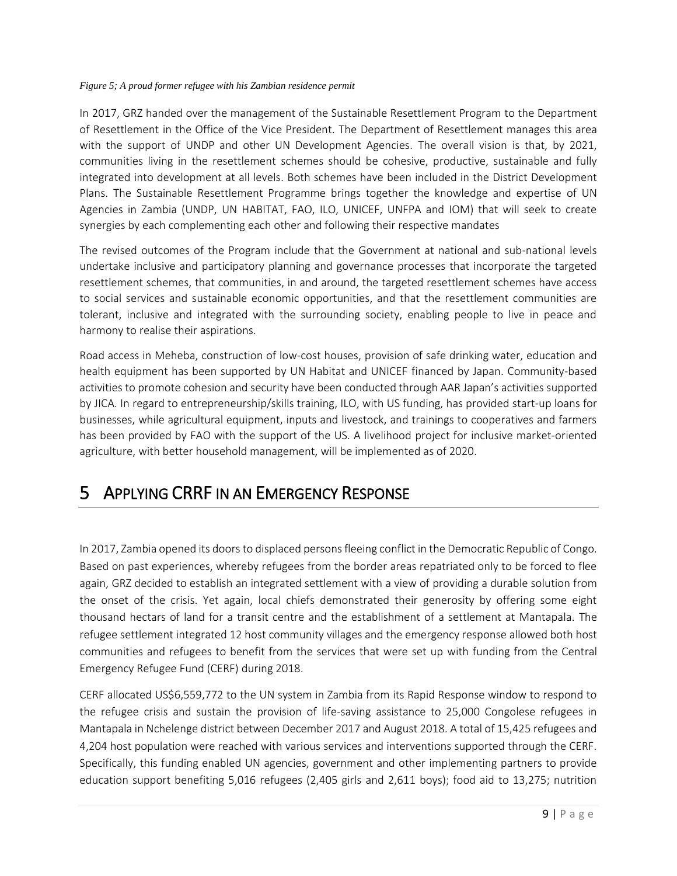#### *Figure 5; A proud former refugee with his Zambian residence permit*

In 2017, GRZ handed over the management of the Sustainable Resettlement Program to the Department of Resettlement in the Office of the Vice President. The Department of Resettlement manages this area with the support of UNDP and other UN Development Agencies. The overall vision is that, by 2021, communities living in the resettlement schemes should be cohesive, productive, sustainable and fully integrated into development at all levels. Both schemes have been included in the District Development Plans. The Sustainable Resettlement Programme brings together the knowledge and expertise of UN Agencies in Zambia (UNDP, UN HABITAT, FAO, ILO, UNICEF, UNFPA and IOM) that will seek to create synergies by each complementing each other and following their respective mandates

The revised outcomes of the Program include that the Government at national and sub-national levels undertake inclusive and participatory planning and governance processes that incorporate the targeted resettlement schemes, that communities, in and around, the targeted resettlement schemes have access to social services and sustainable economic opportunities, and that the resettlement communities are tolerant, inclusive and integrated with the surrounding society, enabling people to live in peace and harmony to realise their aspirations.

Road access in Meheba, construction of low-cost houses, provision of safe drinking water, education and health equipment has been supported by UN Habitat and UNICEF financed by Japan. Community-based activities to promote cohesion and security have been conducted through AAR Japan's activities supported by JICA. In regard to entrepreneurship/skills training, ILO, with US funding, has provided start-up loans for businesses, while agricultural equipment, inputs and livestock, and trainings to cooperatives and farmers has been provided by FAO with the support of the US. A livelihood project for inclusive market-oriented agriculture, with better household management, will be implemented as of 2020.

### 5 APPLYING CRRF IN AN EMERGENCY RESPONSE

In 2017, Zambia opened its doors to displaced persons fleeing conflict in the Democratic Republic of Congo. Based on past experiences, whereby refugees from the border areas repatriated only to be forced to flee again, GRZ decided to establish an integrated settlement with a view of providing a durable solution from the onset of the crisis. Yet again, local chiefs demonstrated their generosity by offering some eight thousand hectars of land for a transit centre and the establishment of a settlement at Mantapala. The refugee settlement integrated 12 host community villages and the emergency response allowed both host communities and refugees to benefit from the services that were set up with funding from the Central Emergency Refugee Fund (CERF) during 2018.

CERF allocated US\$6,559,772 to the UN system in Zambia from its Rapid Response window to respond to the refugee crisis and sustain the provision of life-saving assistance to 25,000 Congolese refugees in Mantapala in Nchelenge district between December 2017 and August 2018. A total of 15,425 refugees and 4,204 host population were reached with various services and interventions supported through the CERF. Specifically, this funding enabled UN agencies, government and other implementing partners to provide education support benefiting 5,016 refugees (2,405 girls and 2,611 boys); food aid to 13,275; nutrition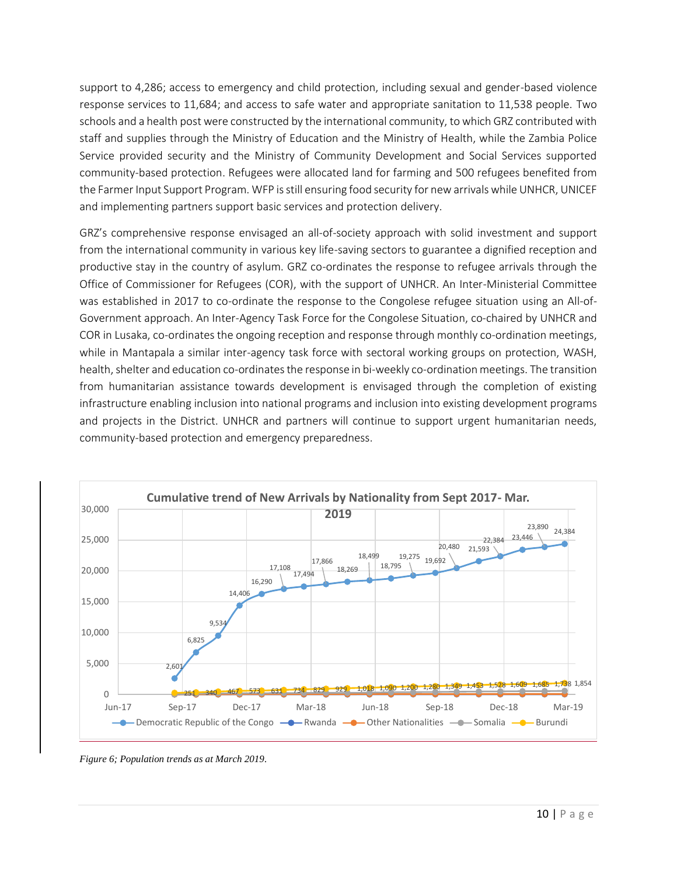support to 4,286; access to emergency and child protection, including sexual and gender-based violence response services to 11,684; and access to safe water and appropriate sanitation to 11,538 people. Two schools and a health post were constructed by the international community, to which GRZ contributed with staff and supplies through the Ministry of Education and the Ministry of Health, while the Zambia Police Service provided security and the Ministry of Community Development and Social Services supported community-based protection. Refugees were allocated land for farming and 500 refugees benefited from the Farmer Input Support Program. WFP is still ensuring food security for new arrivals while UNHCR, UNICEF and implementing partners support basic services and protection delivery.

GRZ's comprehensive response envisaged an all-of-society approach with solid investment and support from the international community in various key life-saving sectors to guarantee a dignified reception and productive stay in the country of asylum. GRZ co-ordinates the response to refugee arrivals through the Office of Commissioner for Refugees (COR), with the support of UNHCR. An Inter-Ministerial Committee was established in 2017 to co-ordinate the response to the Congolese refugee situation using an All-of-Government approach. An Inter-Agency Task Force for the Congolese Situation, co-chaired by UNHCR and COR in Lusaka, co-ordinates the ongoing reception and response through monthly co-ordination meetings, while in Mantapala a similar inter-agency task force with sectoral working groups on protection, WASH, health, shelter and education co-ordinates the response in bi-weekly co-ordination meetings. The transition from humanitarian assistance towards development is envisaged through the completion of existing infrastructure enabling inclusion into national programs and inclusion into existing development programs and projects in the District. UNHCR and partners will continue to support urgent humanitarian needs, community-based protection and emergency preparedness.



*Figure 6; Population trends as at March 2019.*